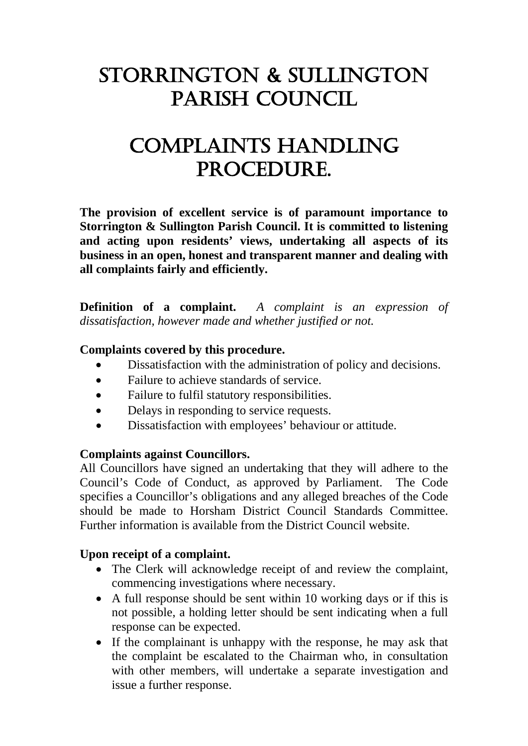# Storrington & Sullington Parish Council

# Complaints Handling PROCEDURE.

**The provision of excellent service is of paramount importance to Storrington & Sullington Parish Council. It is committed to listening and acting upon residents' views, undertaking all aspects of its business in an open, honest and transparent manner and dealing with all complaints fairly and efficiently.**

**Definition of a complaint.** *A complaint is an expression of dissatisfaction, however made and whether justified or not.*

### **Complaints covered by this procedure.**

- Dissatisfaction with the administration of policy and decisions.
- Failure to achieve standards of service.
- Failure to fulfil statutory responsibilities.
- Delays in responding to service requests.
- Dissatisfaction with employees' behaviour or attitude.

#### **Complaints against Councillors.**

All Councillors have signed an undertaking that they will adhere to the Council's Code of Conduct, as approved by Parliament. The Code specifies a Councillor's obligations and any alleged breaches of the Code should be made to Horsham District Council Standards Committee. Further information is available from the District Council website.

## **Upon receipt of a complaint.**

- The Clerk will acknowledge receipt of and review the complaint, commencing investigations where necessary.
- A full response should be sent within 10 working days or if this is not possible, a holding letter should be sent indicating when a full response can be expected.
- If the complainant is unhappy with the response, he may ask that the complaint be escalated to the Chairman who, in consultation with other members, will undertake a separate investigation and issue a further response.